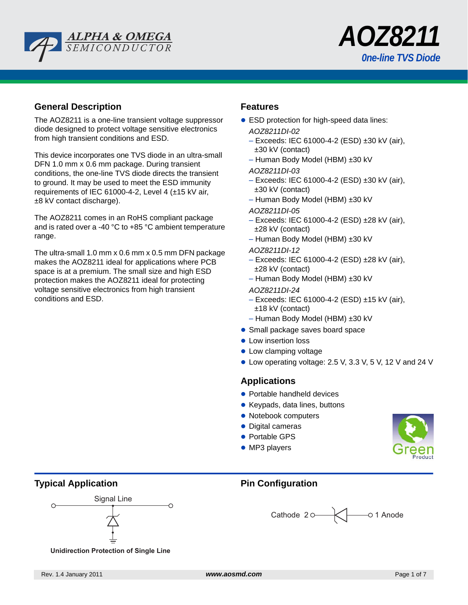



# **General Description**

The AOZ8211 is a one-line transient voltage suppressor diode designed to protect voltage sensitive electronics from high transient conditions and ESD.

This device incorporates one TVS diode in an ultra-small DFN 1.0 mm x 0.6 mm package. During transient conditions, the one-line TVS diode directs the transient to ground. It may be used to meet the ESD immunity requirements of IEC 61000-4-2, Level 4 (±15 kV air, ±8 kV contact discharge).

The AOZ8211 comes in an RoHS compliant package and is rated over a -40 °C to +85 °C ambient temperature range.

The ultra-small 1.0 mm x 0.6 mm x 0.5 mm DFN package makes the AOZ8211 ideal for applications where PCB space is at a premium. The small size and high ESD protection makes the AOZ8211 ideal for protecting voltage sensitive electronics from high transient conditions and ESD.

## **Features**

- **ESD protection for high-speed data lines:** 
	- *AOZ8211DI-02*
	- Exceeds: IEC 61000-4-2 (ESD) ±30 kV (air), ±30 kV (contact)
	- Human Body Model (HBM) ±30 kV

### *AOZ8211DI-03*

- Exceeds: IEC 61000-4-2 (ESD) ±30 kV (air), ±30 kV (contact)
- Human Body Model (HBM) ±30 kV
- *AOZ8211DI-05*
- Exceeds: IEC 61000-4-2 (ESD) ±28 kV (air), ±28 kV (contact)
- Human Body Model (HBM) ±30 kV
- *AOZ8211DI-12*
- Exceeds: IEC 61000-4-2 (ESD) ±28 kV (air), ±28 kV (contact)
- Human Body Model (HBM) ±30 kV
- *AOZ8211DI-24*
- Exceeds: IEC 61000-4-2 (ESD) ±15 kV (air), ±18 kV (contact)
- Human Body Model (HBM) ±30 kV
- Small package saves board space
- Low insertion loss
- $\bullet$  Low clamping voltage
- $\bullet$  Low operating voltage: 2.5 V, 3.3 V, 5 V, 12 V and 24 V

## **Applications**

- Portable handheld devices
- Keypads, data lines, buttons
- Notebook computers
- Digital cameras
- Portable GPS
- $\bullet$  MP3 players



# **Typical Application Configuration Pin Configuration**



**Unidirection Protection of Single Line**

Cathode 20 \\ 01 Anode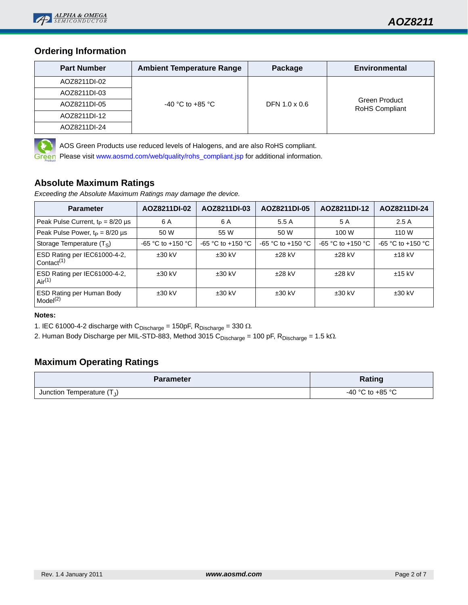

# **Ordering Information**

| <b>Part Number</b> | <b>Ambient Temperature Range</b> | Package       | <b>Environmental</b>            |  |  |
|--------------------|----------------------------------|---------------|---------------------------------|--|--|
| AOZ8211DI-02       |                                  |               |                                 |  |  |
| AOZ8211DI-03       |                                  |               |                                 |  |  |
| AOZ8211DI-05       | $-40$ °C to $+85$ °C             | DFN 1.0 x 0.6 | Green Product<br>RoHS Compliant |  |  |
| AOZ8211DI-12       |                                  |               |                                 |  |  |
| AOZ8211DI-24       |                                  |               |                                 |  |  |



AOS Green Products use reduced levels of Halogens, and are also RoHS compliant.

Please visit [www.aosmd.com/web/quality/rohs\\_compliant.jsp](http://www.aosmd.com/web/quality/rohs_compliant.jsp) for additional information.

## **Absolute Maximum Ratings**

*Exceeding the Absolute Maximum Ratings may damage the device.*

| <b>Parameter</b>                                                    | AOZ8211DI-02          | AOZ8211DI-03          | AOZ8211DI-05          | AOZ8211DI-12          | AOZ8211DI-24        |
|---------------------------------------------------------------------|-----------------------|-----------------------|-----------------------|-----------------------|---------------------|
| Peak Pulse Current, $t_P = 8/20 \mu s$                              | 6 A                   | 6 A                   | 5.5 A                 | 5 A                   | 2.5A                |
| Peak Pulse Power, $t_P = 8/20 \mu s$                                | 50 W                  | 55 W                  | 50 W                  | 100 W                 | 110 W               |
| Storage Temperature $(T_S)$                                         | $-65$ °C to $+150$ °C | $-65$ °C to $+150$ °C | $-65$ °C to $+150$ °C | $-65 °C$ to $+150 °C$ | $-65$ °C to +150 °C |
| ESD Rating per IEC61000-4-2,<br>Contact <sup><math>(1)</math></sup> | $±30$ kV              | $±30$ kV              | $±28$ kV              | $±28$ kV              | $±18$ kV            |
| ESD Rating per IEC61000-4-2,<br>Air <sup>(1)</sup>                  | $±30$ kV              | $±30$ kV              | $±28$ kV              | $±28$ kV              | $±15$ kV            |
| ESD Rating per Human Body<br>Model <sup>(2)</sup>                   | $±30$ kV              | $±30$ kV              | $±30$ kV              | $±30$ kV              | $±30$ kV            |

## **Notes:**

1. IEC 61000-4-2 discharge with  $\text{C}_{\text{Discharge}} = 150 \text{pF}$ ,  $\text{R}_{\text{Discharge}} = 330 \ \Omega$ .

2. Human Body Discharge per MIL-STD-883, Method 3015 C<sub>Discharge</sub> = 100 pF, R<sub>Discharge</sub> = 1.5 kΩ.

# **Maximum Operating Ratings**

| <b>Parameter</b>             | <b>Rating</b>        |  |  |
|------------------------------|----------------------|--|--|
| Junction Temperature $(T_J)$ | $-40$ °C to $+85$ °C |  |  |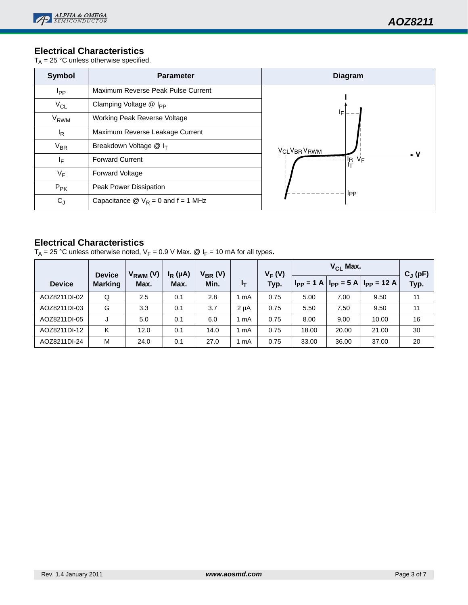# **Electrical Characteristics**

 $T_A = 25 \degree C$  unless otherwise specified.

| <b>Symbol</b>          | <b>Parameter</b>                                           | <b>Diagram</b>                      |  |  |  |
|------------------------|------------------------------------------------------------|-------------------------------------|--|--|--|
| <b>I</b> pp            | Maximum Reverse Peak Pulse Current                         |                                     |  |  |  |
| $V_{CL}$               | Clamping Voltage @ I <sub>PP</sub>                         |                                     |  |  |  |
| <b>V<sub>RWM</sub></b> | Working Peak Reverse Voltage                               | IF                                  |  |  |  |
| <sup>I</sup> R         | Maximum Reverse Leakage Current                            |                                     |  |  |  |
| $V_{BR}$               | Breakdown Voltage $@I_{T}$                                 | <b>VCLVBR VRWM</b>                  |  |  |  |
| ΙF                     | <b>Forward Current</b>                                     | I <sub>R</sub> V <sub>F</sub><br>It |  |  |  |
| $V_F$                  | <b>Forward Voltage</b>                                     |                                     |  |  |  |
| $P_{PK}$               | Peak Power Dissipation                                     | <b>IPP</b>                          |  |  |  |
| $C_J$                  | Capacitance $\mathcal{Q}$ V <sub>R</sub> = 0 and f = 1 MHz |                                     |  |  |  |

# **Electrical Characteristics**

 $T_A = 25 °C$  unless otherwise noted,  $V_F = 0.9 V$  Max. @  $I_F = 10$  mA for all types.

|               | <b>Device</b>  | $V_{RWM} (V)$ | $I_R(\mu A)$ | $V_{BR} (V)$ |                  | $V_F(V)$ | $V_{CL}$ Max. |       |                                               | $C_J(pF)$ |
|---------------|----------------|---------------|--------------|--------------|------------------|----------|---------------|-------|-----------------------------------------------|-----------|
| <b>Device</b> | <b>Marking</b> | Max.          | Max.         | Min.         | ŀτ               | Typ.     |               |       | $I_{PP} = 1$ A $I_{PP} = 5$ A $I_{PP} = 12$ A | Typ.      |
| AOZ8211DI-02  | Q              | 2.5           | 0.1          | 2.8          | mA               | 0.75     | 5.00          | 7.00  | 9.50                                          | 11        |
| AOZ8211DI-03  | G              | 3.3           | 0.1          | 3.7          | 2 <sub>µ</sub> A | 0.75     | 5.50          | 7.50  | 9.50                                          | 11        |
| AOZ8211DI-05  | J              | 5.0           | 0.1          | 6.0          | mA               | 0.75     | 8.00          | 9.00  | 10.00                                         | 16        |
| AOZ8211DI-12  | Κ              | 12.0          | 0.1          | 14.0         | mA               | 0.75     | 18.00         | 20.00 | 21.00                                         | 30        |
| AOZ8211DI-24  | M              | 24.0          | 0.1          | 27.0         | mA               | 0.75     | 33.00         | 36.00 | 37.00                                         | 20        |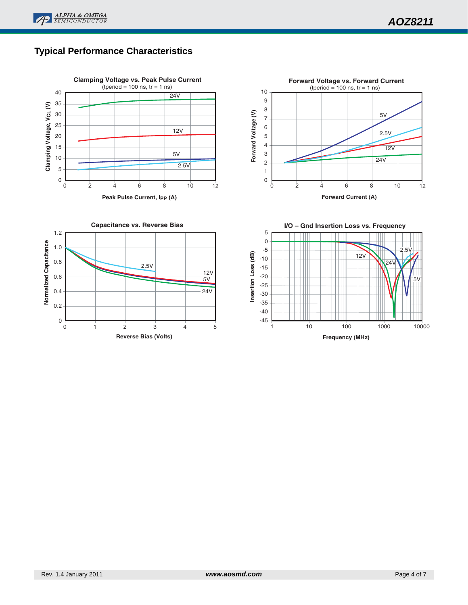

# **Typical Performance Characteristics**







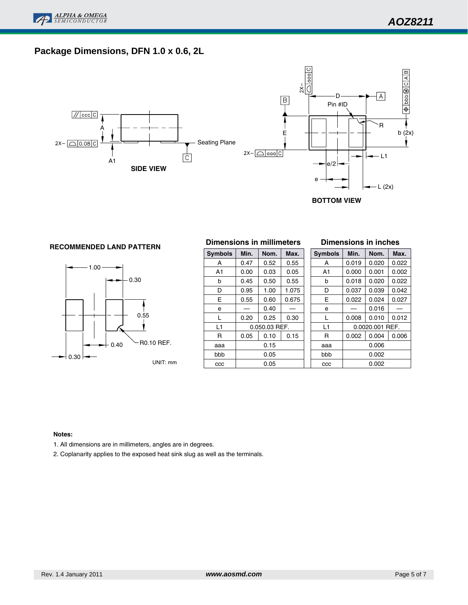

# **Package Dimensions, DFN 1.0 x 0.6, 2L**



**BOTTOM VIEW**

# **Dimensions in millimeters RECOMMENDED LAND PATTERN**



| Min. | Nom. | Max.         |               | <b>Symbo</b> |
|------|------|--------------|---------------|--------------|
| 0.47 | 0.52 | 0.55         |               | A            |
| 0.00 | 0.03 | 0.05         |               | A1           |
| 0.45 | 0.50 | 0.55         |               | b            |
| 0.95 | 1.00 | 1.075        |               | D            |
| 0.55 | 0.60 | 0.675        |               | E            |
|      | 0.40 |              |               | e            |
| 0.20 | 0.25 | 0.30         |               | L            |
|      |      |              |               | L1           |
| 0.05 | 0.10 | 0.15         |               | R            |
|      |      | aaa          |               |              |
|      |      | bbb          |               |              |
|      | 0.05 |              |               | CCC          |
|      |      | 0.15<br>0.05 | 0.050.03 REF. |              |

#### **Dimensions in inches**

| x. | <b>Symbols</b> | Min.<br>Nom. |                 | Max.  |  |  |  |  |  |
|----|----------------|--------------|-----------------|-------|--|--|--|--|--|
| 5  | A              | 0.019        | 0.020           | 0.022 |  |  |  |  |  |
| 5  | A <sub>1</sub> | 0.000        | 0.001           | 0.002 |  |  |  |  |  |
| 5  | b              | 0.018        | 0.020           | 0.022 |  |  |  |  |  |
| 75 | D              | 0.037        | 0.039           | 0.042 |  |  |  |  |  |
| 75 | E              | 0.022        | 0.024           | 0.027 |  |  |  |  |  |
|    | e              |              | 0.016           |       |  |  |  |  |  |
| 0  | L              | 0.008        | 0.010           | 0.012 |  |  |  |  |  |
|    | L1             |              | 0.0020.001 REF. |       |  |  |  |  |  |
| 5  | R              | 0.002        | 0.004           | 0.006 |  |  |  |  |  |
|    | aaa            | 0.006        |                 |       |  |  |  |  |  |
|    | bbb            |              | 0.002           |       |  |  |  |  |  |
|    | CCC            |              | 0.002           |       |  |  |  |  |  |

#### **Notes:**

1. All dimensions are in millimeters, angles are in degrees.

2. Coplanarity applies to the exposed heat sink slug as well as the terminals.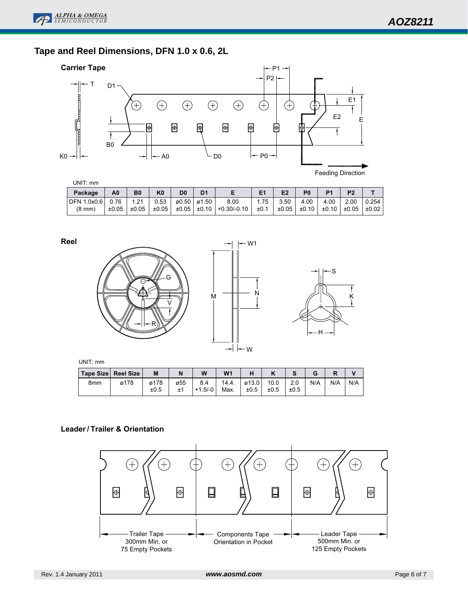# **Tape and Reel Dimensions, DFN 1.0 x 0.6, 2L**



| UNIT: mm           |       |                |                |                |                |             |      |       |                |                |                |            |
|--------------------|-------|----------------|----------------|----------------|----------------|-------------|------|-------|----------------|----------------|----------------|------------|
| Package            | A0    | B <sub>0</sub> | K <sub>0</sub> | D <sub>0</sub> | D <sub>1</sub> |             | E1   | E2    | P <sub>0</sub> | P <sub>1</sub> | P <sub>2</sub> |            |
| <b>DFN 1.0x0.6</b> | 0.76  | 1.21           | 0.53           |                | ø0.50∣ø1.50∣   | 8.00        | 1.75 | 3.50  | 4.00           | 4.00           | 2.00           | 0.254      |
| $(8 \text{ mm})$   | ±0.05 | ±0.05          | ±0.05          | $\pm 0.05$     | ±0.10          | +0.30/-0.10 | ±0.1 | ±0.05 | ±0.10          | ±0.10          | ±0.05          | $\pm 0.02$ |

**Reel**







UNIT: mm

| ∣ Tape Size ∣ Reel Size ∣ |      | M            |     | W                | W <sub>1</sub> |                        |              |             | u   |     |     |
|---------------------------|------|--------------|-----|------------------|----------------|------------------------|--------------|-------------|-----|-----|-----|
| 8 <sub>mm</sub>           | ø178 | ø178<br>±0.5 | ø55 | 8.4<br>$+1.5/-0$ | 14.4.<br>Max.  | $\varphi$ 13.0<br>±0.5 | 10.0<br>±0.5 | 2.0<br>±0.5 | N/A | N/A | N/A |

## **Leader/ Trailer & Orientation**